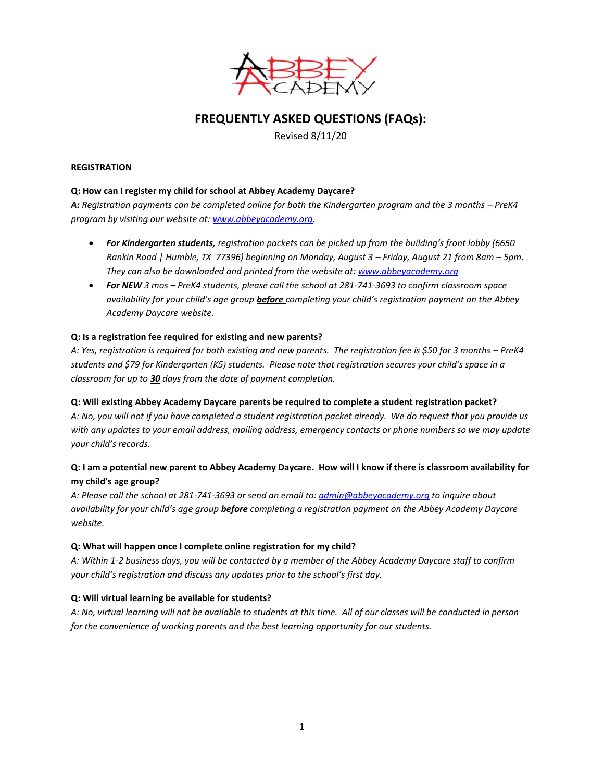

# **FREQUENTLY ASKED QUESTIONS (FAQs):**

Revised 8/11/20

## **REGISTRATION**

## **Q: How can I register my child for school at Abbey Academy Daycare?**

A: Registration payments can be completed online for both the Kindergarten program and the 3 months – PreK4 *program by visiting our website at[: www.abbeyacademy.org.](http://www.abbeyacademy.org/)* 

- *For Kindergarten students, registration packets can be picked up from the building's front lobby (6650 Rankin Road | Humble, TX 77396) beginning on Monday, August 3 – Friday, August 21 from 8am – 5pm. They can also be downloaded and printed from the website at: [www.abbeyacademy.org](http://www.abbeyacademy.org/)*
- *For NEW 3 mos – PreK4 students, please call the school at 281-741-3693 to confirm classroom space availability for your child's age group before completing your child's registration payment on the Abbey Academy Daycare website.*

## **Q: Is a registration fee required for existing and new parents?**

*A: Yes, registration is required for both existing and new parents. The registration fee is \$50 for 3 months – PreK4 students and \$79 for Kindergarten (K5) students. Please note that registration secures your child's space in a classroom for up to 30 days from the date of payment completion.*

## **Q: Will existing Abbey Academy Daycare parents be required to complete a student registration packet?**

*A: No, you will not if you have completed a student registration packet already. We do request that you provide us with any updates to your email address, mailing address, emergency contacts or phone numbers so we may update your child's records.* 

# **Q: I am a potential new parent to Abbey Academy Daycare. How will I know if there is classroom availability for my child's age group?**

*A: Please call the school at 281-741-3693 or send an email to[: admin@abbeyacademy.org](mailto:admin@abbeyacademy.org) to inquire about availability for your child's age group before completing a registration payment on the Abbey Academy Daycare website.* 

#### **Q: What will happen once I complete online registration for my child?**

*A: Within 1-2 business days, you will be contacted by a member of the Abbey Academy Daycare staff to confirm your child's registration and discuss any updates prior to the school's first day.* 

## **Q: Will virtual learning be available for students?**

*A: No, virtual learning will not be available to students at this time. All of our classes will be conducted in person for the convenience of working parents and the best learning opportunity for our students.*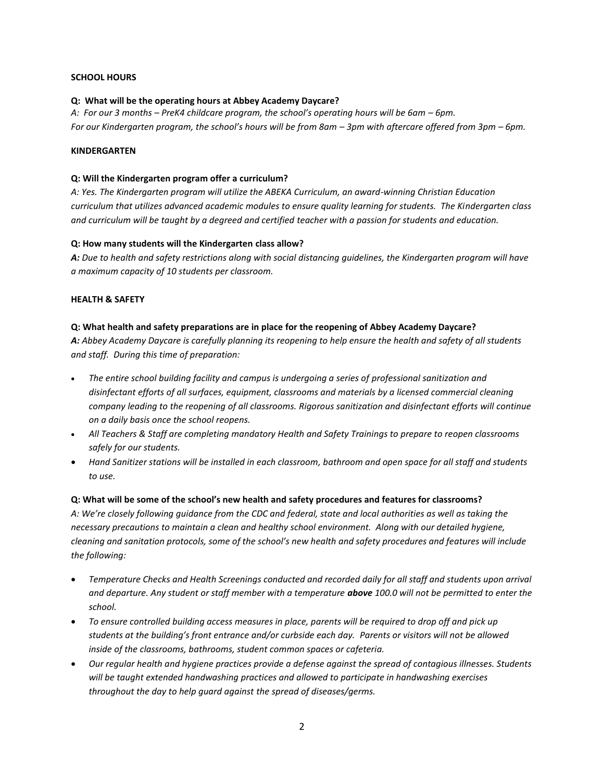## **SCHOOL HOURS**

#### **Q: What will be the operating hours at Abbey Academy Daycare?**

*A: For our 3 months – PreK4 childcare program, the school's operating hours will be 6am – 6pm. For our Kindergarten program, the school's hours will be from 8am – 3pm with aftercare offered from 3pm – 6pm.* 

#### **KINDERGARTEN**

#### **Q: Will the Kindergarten program offer a curriculum?**

*A: Yes. The Kindergarten program will utilize the ABEKA Curriculum, an award-winning Christian Education curriculum that utilizes advanced academic modules to ensure quality learning for students. The Kindergarten class and curriculum will be taught by a degreed and certified teacher with a passion for students and education.* 

### **Q: How many students will the Kindergarten class allow?**

*A: Due to health and safety restrictions along with social distancing guidelines, the Kindergarten program will have a maximum capacity of 10 students per classroom.* 

### **HEALTH & SAFETY**

#### **Q: What health and safety preparations are in place for the reopening of Abbey Academy Daycare?**

*A: Abbey Academy Daycare is carefully planning its reopening to help ensure the health and safety of all students and staff. During this time of preparation:*

- *The entire school building facility and campus is undergoing a series of professional sanitization and disinfectant efforts of all surfaces, equipment, classrooms and materials by a licensed commercial cleaning company leading to the reopening of all classrooms. Rigorous sanitization and disinfectant efforts will continue on a daily basis once the school reopens.*
- *All Teachers & Staff are completing mandatory Health and Safety Trainings to prepare to reopen classrooms safely for our students.*
- *Hand Sanitizer stations will be installed in each classroom, bathroom and open space for all staff and students to use.*

## **Q: What will be some of the school's new health and safety procedures and features for classrooms?**

*A: We're closely following guidance from the CDC and federal, state and local authorities as well as taking the necessary precautions to maintain a clean and healthy school environment. Along with our detailed hygiene, cleaning and sanitation protocols, some of the school's new health and safety procedures and features will include the following:* 

- *Temperature Checks and Health Screenings conducted and recorded daily for all staff and students upon arrival and departure. Any student or staff member with a temperature above 100.0 will not be permitted to enter the school.*
- *To ensure controlled building access measures in place, parents will be required to drop off and pick up students at the building's front entrance and/or curbside each day. Parents or visitors will not be allowed inside of the classrooms, bathrooms, student common spaces or cafeteria.*
- *Our regular health and hygiene practices provide a defense against the spread of contagious illnesses. Students will be taught extended handwashing practices and allowed to participate in handwashing exercises throughout the day to help guard against the spread of diseases/germs.*